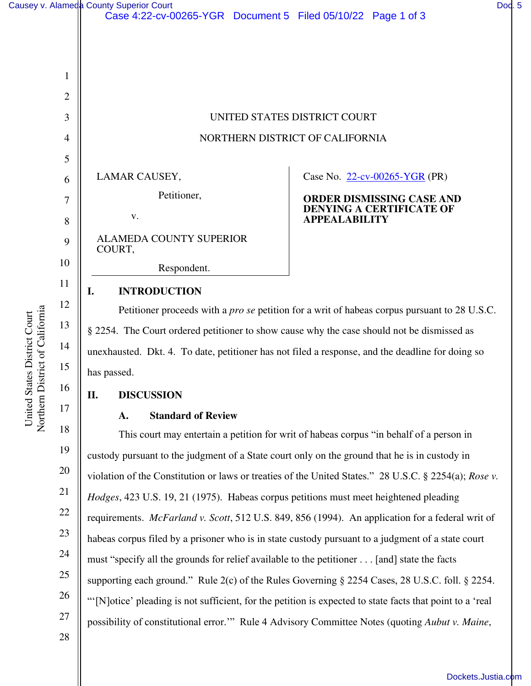1

2

3

4

5

6

7

8

9

10

11

12

13

14

15

16

17

|                                                                                                     | UNITED STATES DISTRICT COURT                                                            |  |
|-----------------------------------------------------------------------------------------------------|-----------------------------------------------------------------------------------------|--|
|                                                                                                     | NORTHERN DISTRICT OF CALIFORNIA                                                         |  |
|                                                                                                     |                                                                                         |  |
| LAMAR CAUSEY,                                                                                       | Case No. $22$ -cv-00265-YGR (PR)                                                        |  |
| Petitioner,                                                                                         | ORDER DISMISSING CASE AND                                                               |  |
| V.                                                                                                  | <b>DENYING A CERTIFICATE OF</b><br><b>APPEALABILITY</b>                                 |  |
| <b>ALAMEDA COUNTY SUPERIOR</b><br>COURT,                                                            |                                                                                         |  |
| Respondent.                                                                                         |                                                                                         |  |
| <b>INTRODUCTION</b><br>I.                                                                           |                                                                                         |  |
| Petitioner proceeds with a <i>pro se</i> petition for a writ of habeas corpus pursuant to 28 U.S.C. |                                                                                         |  |
| § 2254. The Court ordered petitioner to show cause why the case should not be dismissed as          |                                                                                         |  |
| unexhausted. Dkt. 4. To date, petitioner has not filed a response, and the deadline for doing so    |                                                                                         |  |
| has passed.                                                                                         |                                                                                         |  |
| <b>DISCUSSION</b><br>П.                                                                             |                                                                                         |  |
| <b>Standard of Review</b><br>A.                                                                     |                                                                                         |  |
|                                                                                                     | This court may entertain a petition for writ of habeas corpus "in behalf of a person in |  |

18 19 20 21 22 23 24 25 26 27 28 This court may entertain a petition for writ of habeas corpus "in behalf of a person in custody pursuant to the judgment of a State court only on the ground that he is in custody in violation of the Constitution or laws or treaties of the United States." 28 U.S.C. § 2254(a); *Rose v. Hodges*, 423 U.S. 19, 21 (1975). Habeas corpus petitions must meet heightened pleading requirements. *McFarland v. Scott*, 512 U.S. 849, 856 (1994). An application for a federal writ of habeas corpus filed by a prisoner who is in state custody pursuant to a judgment of a state court must "specify all the grounds for relief available to the petitioner . . . [and] state the facts supporting each ground." Rule 2(c) of the Rules Governing § 2254 Cases, 28 U.S.C. foll. § 2254. "'[N]otice' pleading is not sufficient, for the petition is expected to state facts that point to a 'real possibility of constitutional error.'" Rule 4 Advisory Committee Notes (quoting *Aubut v. Maine*,

[Dockets.Justia.com](https://dockets.justia.com/)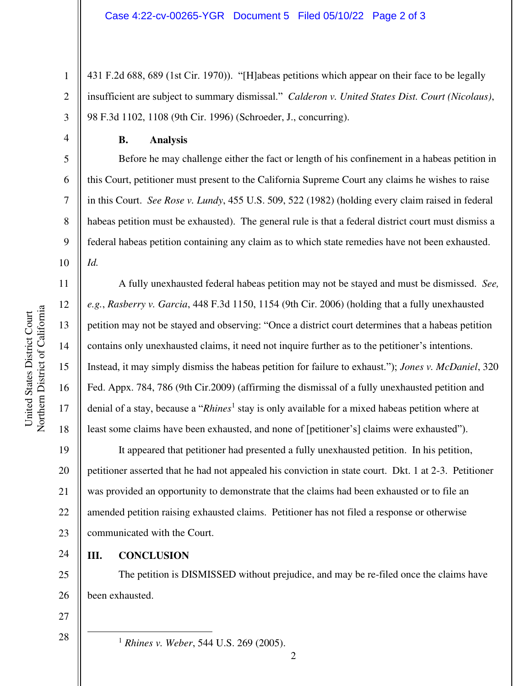431 F.2d 688, 689 (1st Cir. 1970)). "[H]abeas petitions which appear on their face to be legally insufficient are subject to summary dismissal." *Calderon v. United States Dist. Court (Nicolaus)*, 98 F.3d 1102, 1108 (9th Cir. 1996) (Schroeder, J., concurring).

1

2

3

4

5

6

7

8

9

16

17

18

24

27

28

## **B. Analysis**

Before he may challenge either the fact or length of his confinement in a habeas petition in this Court, petitioner must present to the California Supreme Court any claims he wishes to raise in this Court. *See Rose v. Lundy*, 455 U.S. 509, 522 (1982) (holding every claim raised in federal habeas petition must be exhausted). The general rule is that a federal district court must dismiss a federal habeas petition containing any claim as to which state remedies have not been exhausted. *Id.*

A fully unexhausted federal habeas petition may not be stayed and must be dismissed. *See, e.g.*, *Rasberry v. Garcia*, 448 F.3d 1150, 1154 (9th Cir. 2006) (holding that a fully unexhausted petition may not be stayed and observing: "Once a district court determines that a habeas petition contains only unexhausted claims, it need not inquire further as to the petitioner's intentions. Instead, it may simply dismiss the habeas petition for failure to exhaust."); *Jones v. McDaniel*, 320 Fed. Appx. 784, 786 (9th Cir.2009) (affirming the dismissal of a fully unexhausted petition and denial of a stay, because a "*Rhines*<sup>1</sup> stay is only available for a mixed habeas petition where at least some claims have been exhausted, and none of [petitioner's] claims were exhausted").

19 20 21 22 23 It appeared that petitioner had presented a fully unexhausted petition. In his petition, petitioner asserted that he had not appealed his conviction in state court. Dkt. 1 at 2-3. Petitioner was provided an opportunity to demonstrate that the claims had been exhausted or to file an amended petition raising exhausted claims. Petitioner has not filed a response or otherwise communicated with the Court.

**III. CONCLUSION** 

25 26 The petition is DISMISSED without prejudice, and may be re-filed once the claims have been exhausted.

<sup>1</sup> *Rhines v. Weber*, 544 U.S. 269 (2005).